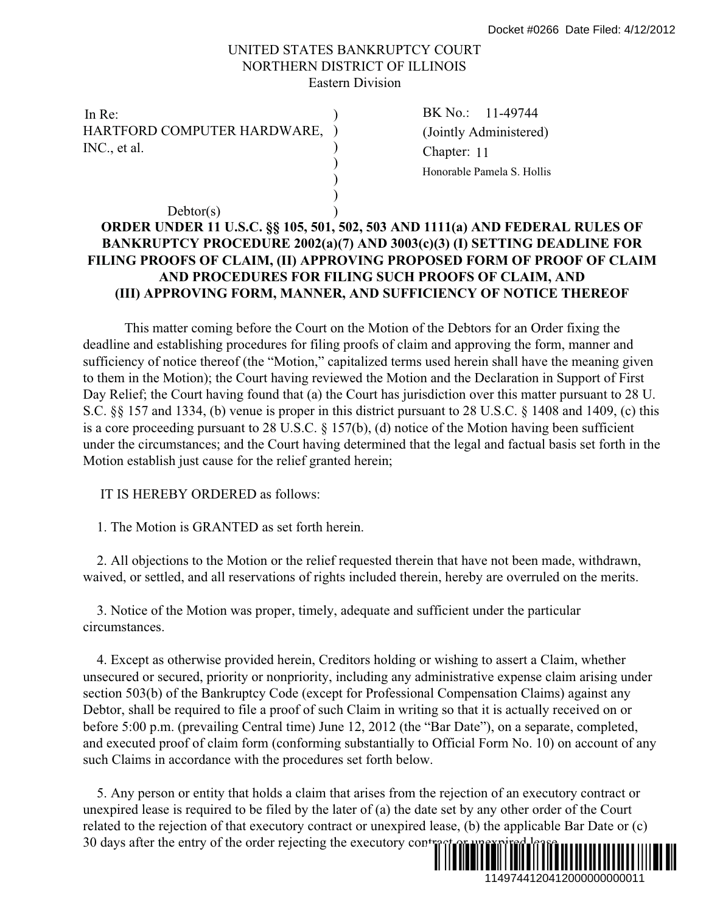## UNITED STATES BANKRUPTCY COURT NORTHERN DISTRICT OF ILLINOIS Eastern Division

)

) )

In Re: BK No.: HARTFORD COMPUTER HARDWARE, INC., et al.

 $Dektor(s)$ 

(a) Chapter: 11 BK No.: 11-49744 (Jointly Administered) Honorable Pamela S. Hollis

## **ORDER UNDER 11 U.S.C. §§ 105, 501, 502, 503 AND 1111(a) AND FEDERAL RULES OF BANKRUPTCY PROCEDURE 2002(a)(7) AND 3003(c)(3) (I) SETTING DEADLINE FOR FILING PROOFS OF CLAIM, (II) APPROVING PROPOSED FORM OF PROOF OF CLAIM AND PROCEDURES FOR FILING SUCH PROOFS OF CLAIM, AND (III) APPROVING FORM, MANNER, AND SUFFICIENCY OF NOTICE THEREOF**

This matter coming before the Court on the Motion of the Debtors for an Order fixing the deadline and establishing procedures for filing proofs of claim and approving the form, manner and sufficiency of notice thereof (the "Motion," capitalized terms used herein shall have the meaning given to them in the Motion); the Court having reviewed the Motion and the Declaration in Support of First Day Relief; the Court having found that (a) the Court has jurisdiction over this matter pursuant to 28 U. S.C. §§ 157 and 1334, (b) venue is proper in this district pursuant to 28 U.S.C. § 1408 and 1409, (c) this is a core proceeding pursuant to 28 U.S.C. § 157(b), (d) notice of the Motion having been sufficient under the circumstances; and the Court having determined that the legal and factual basis set forth in the Motion establish just cause for the relief granted herein; 1149744120412000000000011 Docket #0266 Date Filed: 4/12/2012

IT IS HEREBY ORDERED as follows:

1. The Motion is GRANTED as set forth herein.

 2. All objections to the Motion or the relief requested therein that have not been made, withdrawn, waived, or settled, and all reservations of rights included therein, hereby are overruled on the merits.

 3. Notice of the Motion was proper, timely, adequate and sufficient under the particular circumstances.

 4. Except as otherwise provided herein, Creditors holding or wishing to assert a Claim, whether unsecured or secured, priority or nonpriority, including any administrative expense claim arising under section 503(b) of the Bankruptcy Code (except for Professional Compensation Claims) against any Debtor, shall be required to file a proof of such Claim in writing so that it is actually received on or before 5:00 p.m. (prevailing Central time) June 12, 2012 (the "Bar Date"), on a separate, completed, and executed proof of claim form (conforming substantially to Official Form No. 10) on account of any such Claims in accordance with the procedures set forth below.

 5. Any person or entity that holds a claim that arises from the rejection of an executory contract or unexpired lease is required to be filed by the later of (a) the date set by any other order of the Court related to the rejection of that executory contract or unexpired lease, (b) the applicable Bar Date or (c) 30 days after the entry of the order rejecting the executory contracted and  $\frac{1}{2}$ 

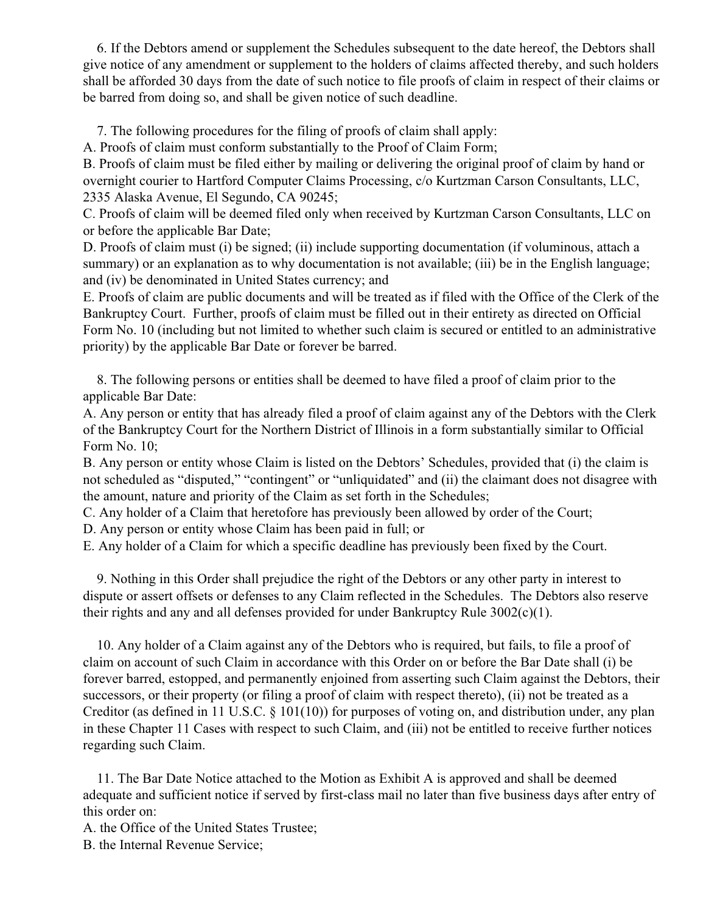6. If the Debtors amend or supplement the Schedules subsequent to the date hereof, the Debtors shall give notice of any amendment or supplement to the holders of claims affected thereby, and such holders shall be afforded 30 days from the date of such notice to file proofs of claim in respect of their claims or be barred from doing so, and shall be given notice of such deadline.

7. The following procedures for the filing of proofs of claim shall apply:

A. Proofs of claim must conform substantially to the Proof of Claim Form;

B. Proofs of claim must be filed either by mailing or delivering the original proof of claim by hand or overnight courier to Hartford Computer Claims Processing, c/o Kurtzman Carson Consultants, LLC, 2335 Alaska Avenue, El Segundo, CA 90245;

C. Proofs of claim will be deemed filed only when received by Kurtzman Carson Consultants, LLC on or before the applicable Bar Date;

D. Proofs of claim must (i) be signed; (ii) include supporting documentation (if voluminous, attach a summary) or an explanation as to why documentation is not available; (iii) be in the English language; and (iv) be denominated in United States currency; and

E. Proofs of claim are public documents and will be treated as if filed with the Office of the Clerk of the Bankruptcy Court. Further, proofs of claim must be filled out in their entirety as directed on Official Form No. 10 (including but not limited to whether such claim is secured or entitled to an administrative priority) by the applicable Bar Date or forever be barred.

 8. The following persons or entities shall be deemed to have filed a proof of claim prior to the applicable Bar Date:

A. Any person or entity that has already filed a proof of claim against any of the Debtors with the Clerk of the Bankruptcy Court for the Northern District of Illinois in a form substantially similar to Official Form No. 10;

B. Any person or entity whose Claim is listed on the Debtors' Schedules, provided that (i) the claim is not scheduled as "disputed," "contingent" or "unliquidated" and (ii) the claimant does not disagree with the amount, nature and priority of the Claim as set forth in the Schedules;

C. Any holder of a Claim that heretofore has previously been allowed by order of the Court;

D. Any person or entity whose Claim has been paid in full; or

E. Any holder of a Claim for which a specific deadline has previously been fixed by the Court.

 9. Nothing in this Order shall prejudice the right of the Debtors or any other party in interest to dispute or assert offsets or defenses to any Claim reflected in the Schedules. The Debtors also reserve their rights and any and all defenses provided for under Bankruptcy Rule 3002(c)(1).

 10. Any holder of a Claim against any of the Debtors who is required, but fails, to file a proof of claim on account of such Claim in accordance with this Order on or before the Bar Date shall (i) be forever barred, estopped, and permanently enjoined from asserting such Claim against the Debtors, their successors, or their property (or filing a proof of claim with respect thereto), (ii) not be treated as a Creditor (as defined in 11 U.S.C. § 101(10)) for purposes of voting on, and distribution under, any plan in these Chapter 11 Cases with respect to such Claim, and (iii) not be entitled to receive further notices regarding such Claim.

 11. The Bar Date Notice attached to the Motion as Exhibit A is approved and shall be deemed adequate and sufficient notice if served by first-class mail no later than five business days after entry of this order on:

A. the Office of the United States Trustee;

B. the Internal Revenue Service;